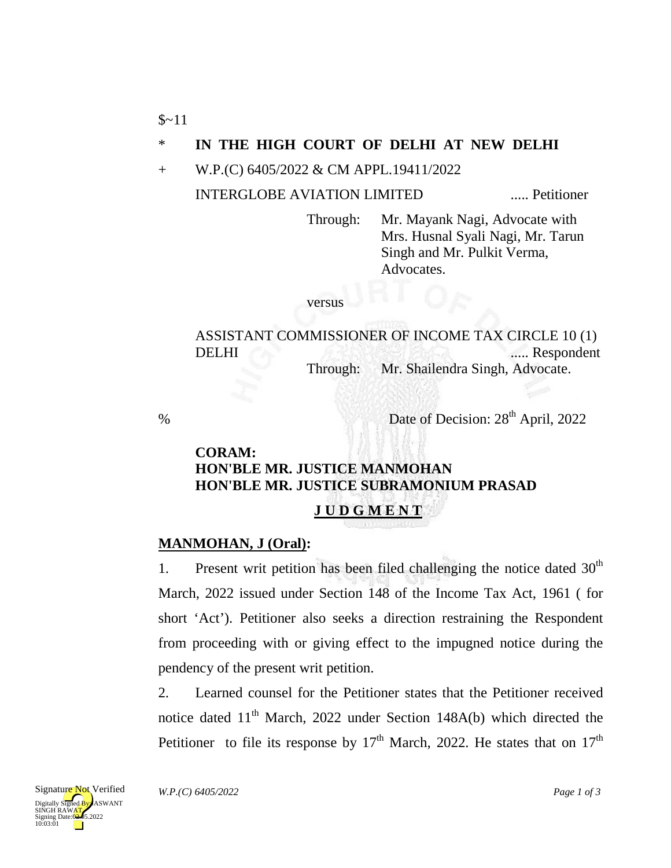$$~11$ 

### \* **IN THE HIGH COURT OF DELHI AT NEW DELHI**

+ W.P.(C) 6405/2022 & CM APPL.19411/2022

### INTERGLOBE AVIATION LIMITED ..... Petitioner

Through: Mr. Mayank Nagi, Advocate with Mrs. Husnal Syali Nagi, Mr. Tarun Singh and Mr. Pulkit Verma, Advocates.

versus

ASSISTANT COMMISSIONER OF INCOME TAX CIRCLE 10 (1) DELHI ...... Respondent Through: Mr. Shailendra Singh, Advocate.

% Date of Decision:  $28<sup>th</sup>$  April, 2022

# **CORAM: HON'BLE MR. JUSTICE MANMOHAN HON'BLE MR. JUSTICE SUBRAMONIUM PRASAD J U D G M E N T**

## **MANMOHAN, J (Oral):**

1. Present writ petition has been filed challenging the notice dated  $30<sup>th</sup>$ March, 2022 issued under Section 148 of the Income Tax Act, 1961 ( for short 'Act'). Petitioner also seeks a direction restraining the Respondent from proceeding with or giving effect to the impugned notice during the pendency of the present writ petition.

2. Learned counsel for the Petitioner states that the Petitioner received notice dated  $11<sup>th</sup>$  March, 2022 under Section 148A(b) which directed the Petitioner to file its response by  $17<sup>th</sup>$  March, 2022. He states that on  $17<sup>th</sup>$ 

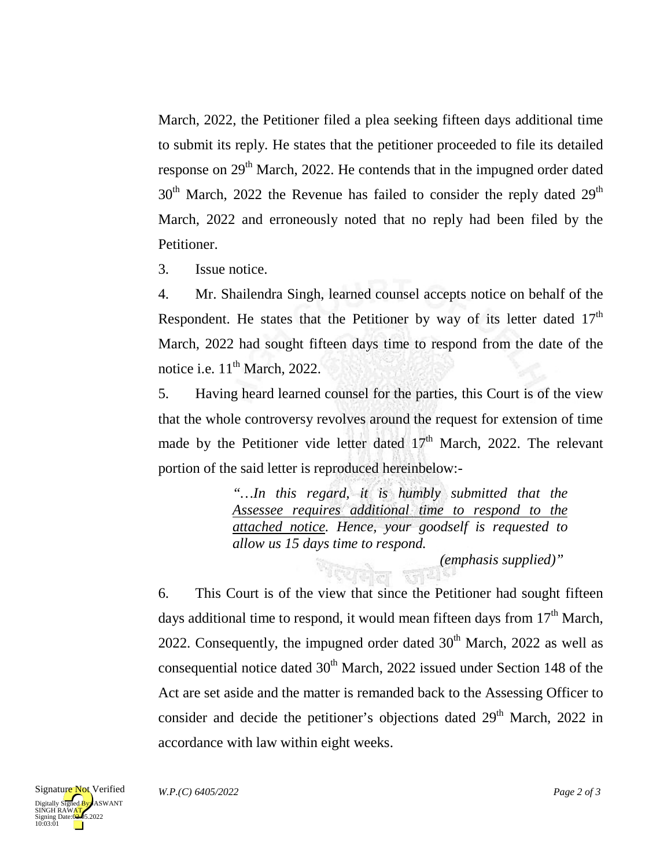March, 2022, the Petitioner filed a plea seeking fifteen days additional time to submit its reply. He states that the petitioner proceeded to file its detailed response on 29<sup>th</sup> March, 2022. He contends that in the impugned order dated  $30<sup>th</sup>$  March, 2022 the Revenue has failed to consider the reply dated  $29<sup>th</sup>$ March, 2022 and erroneously noted that no reply had been filed by the Petitioner.

3. Issue notice.

4. Mr. Shailendra Singh, learned counsel accepts notice on behalf of the Respondent. He states that the Petitioner by way of its letter dated  $17<sup>th</sup>$ March, 2022 had sought fifteen days time to respond from the date of the notice i.e.  $11<sup>th</sup>$  March, 2022.

5. Having heard learned counsel for the parties, this Court is of the view that the whole controversy revolves around the request for extension of time made by the Petitioner vide letter dated  $17<sup>th</sup>$  March, 2022. The relevant portion of the said letter is reproduced hereinbelow:-

> *"…In this regard, it is humbly submitted that the Assessee requires additional time to respond to the attached notice. Hence, your goodself is requested to allow us 15 days time to respond.*

*(emphasis supplied)"*

6. This Court is of the view that since the Petitioner had sought fifteen days additional time to respond, it would mean fifteen days from  $17<sup>th</sup>$  March, 2022. Consequently, the impugned order dated  $30<sup>th</sup>$  March, 2022 as well as consequential notice dated  $30<sup>th</sup>$  March, 2022 issued under Section 148 of the Act are set aside and the matter is remanded back to the Assessing Officer to consider and decide the petitioner's objections dated 29<sup>th</sup> March, 2022 in accordance with law within eight weeks.